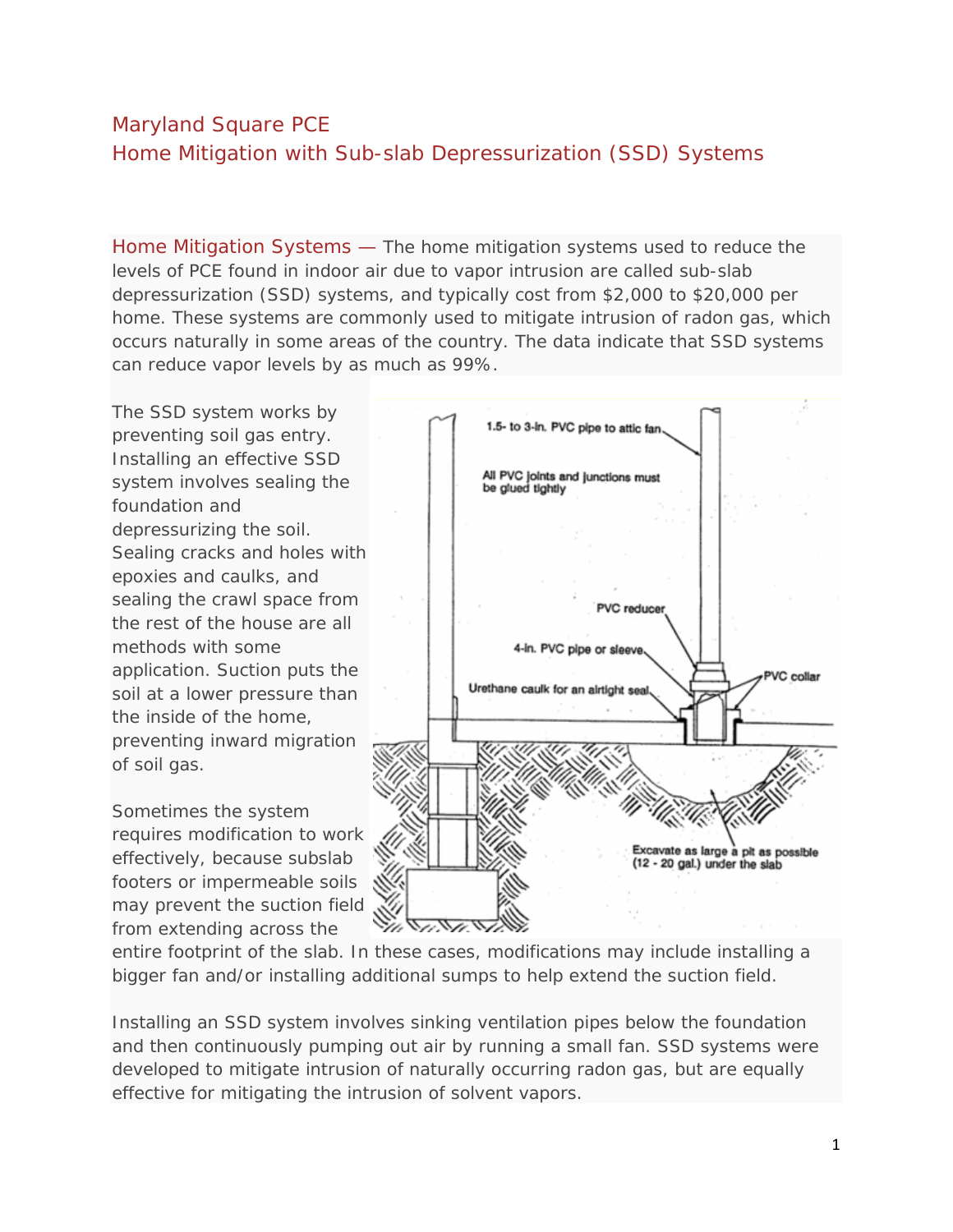## Maryland Square PCE Home Mitigation with Sub-slab Depressurization (SSD) Systems

Home Mitigation Systems — The home mitigation systems used to reduce the levels of PCE found in indoor air due to vapor intrusion are called sub-slab depressurization (SSD) systems, and typically cost from \$2,000 to \$20,000 per home. These systems are commonly used to mitigate intrusion of radon gas, which occurs naturally in some areas of the country. The data indicate that SSD systems can reduce vapor levels by as much as 99%.

The SSD system works by preventing soil gas entry. Installing an effective SSD system involves sealing the foundation and depressurizing the soil. Sealing cracks and holes with epoxies and caulks, and sealing the crawl space from the rest of the house are all methods with some application. Suction puts the soil at a lower pressure than the inside of the home, preventing inward migration of soil gas.

Sometimes the system requires modification to work effectively, because subslab footers or impermeable soils may prevent the suction field from extending across the



entire footprint of the slab. In these cases, modifications may include installing a bigger fan and/or installing additional sumps to help extend the suction field.

Installing an SSD system involves sinking ventilation pipes below the foundation and then continuously pumping out air by running a small fan. SSD systems were developed to mitigate intrusion of naturally occurring radon gas, but are equally effective for mitigating the intrusion of solvent vapors.